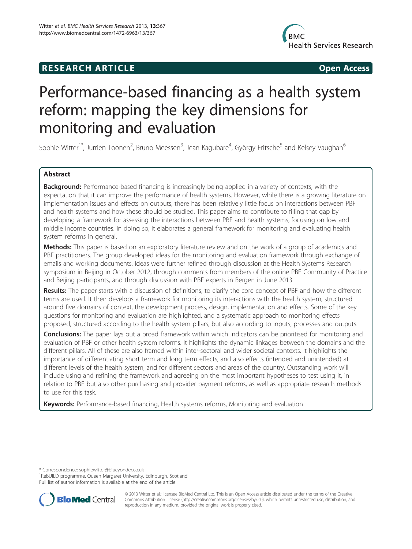## **RESEARCH ARTICLE Example 2014 12:30 The SEAR CHA RESEARCH ARTICLE**



# Performance-based financing as a health system reform: mapping the key dimensions for monitoring and evaluation

Sophie Witter<sup>1\*</sup>, Jurrien Toonen<sup>2</sup>, Bruno Meessen<sup>3</sup>, Jean Kagubare<sup>4</sup>, György Fritsche<sup>5</sup> and Kelsey Vaughan<sup>6</sup>

## Abstract

Background: Performance-based financing is increasingly being applied in a variety of contexts, with the expectation that it can improve the performance of health systems. However, while there is a growing literature on implementation issues and effects on outputs, there has been relatively little focus on interactions between PBF and health systems and how these should be studied. This paper aims to contribute to filling that gap by developing a framework for assessing the interactions between PBF and health systems, focusing on low and middle income countries. In doing so, it elaborates a general framework for monitoring and evaluating health system reforms in general.

**Methods:** This paper is based on an exploratory literature review and on the work of a group of academics and PBF practitioners. The group developed ideas for the monitoring and evaluation framework through exchange of emails and working documents. Ideas were further refined through discussion at the Health Systems Research symposium in Beijing in October 2012, through comments from members of the online PBF Community of Practice and Beijing participants, and through discussion with PBF experts in Bergen in June 2013.

Results: The paper starts with a discussion of definitions, to clarify the core concept of PBF and how the different terms are used. It then develops a framework for monitoring its interactions with the health system, structured around five domains of context, the development process, design, implementation and effects. Some of the key questions for monitoring and evaluation are highlighted, and a systematic approach to monitoring effects proposed, structured according to the health system pillars, but also according to inputs, processes and outputs.

**Conclusions:** The paper lays out a broad framework within which indicators can be prioritised for monitoring and evaluation of PBF or other health system reforms. It highlights the dynamic linkages between the domains and the different pillars. All of these are also framed within inter-sectoral and wider societal contexts. It highlights the importance of differentiating short term and long term effects, and also effects (intended and unintended) at different levels of the health system, and for different sectors and areas of the country. Outstanding work will include using and refining the framework and agreeing on the most important hypotheses to test using it, in relation to PBF but also other purchasing and provider payment reforms, as well as appropriate research methods to use for this task.

Keywords: Performance-based financing, Health systems reforms, Monitoring and evaluation

\* Correspondence: [sophiewitter@blueyonder.co.uk](mailto:sophiewitter@blueyonder.co.uk) <sup>1</sup>

<sup>1</sup>ReBUILD programme, Queen Margaret University, Edinburgh, Scotland Full list of author information is available at the end of the article



© 2013 Witter et al.; licensee BioMed Central Ltd. This is an Open Access article distributed under the terms of the Creative Commons Attribution License [\(http://creativecommons.org/licenses/by/2.0\)](http://creativecommons.org/licenses/by/2.0), which permits unrestricted use, distribution, and reproduction in any medium, provided the original work is properly cited.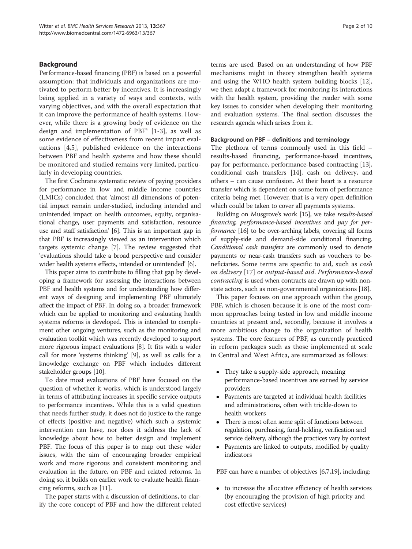### Background

Performance-based financing (PBF) is based on a powerful assumption: that individuals and organizations are motivated to perform better by incentives. It is increasingly being applied in a variety of ways and contexts, with varying objectives, and with the overall expectation that it can improve the performance of health systems. However, while there is a growing body of evidence on the design and implementation of  $PBF<sup>a</sup>$  [\[1](#page-8-0)-[3\]](#page-8-0), as well as some evidence of effectiveness from recent impact evaluations [[4,](#page-8-0)[5](#page-9-0)], published evidence on the interactions between PBF and health systems and how these should be monitored and studied remains very limited, particularly in developing countries.

The first Cochrane systematic review of paying providers for performance in low and middle income countries (LMICs) concluded that 'almost all dimensions of potential impact remain under-studied, including intended and unintended impact on health outcomes, equity, organisational change, user payments and satisfaction, resource use and staff satisfaction' [\[6](#page-9-0)]. This is an important gap in that PBF is increasingly viewed as an intervention which targets systemic change [[7\]](#page-9-0). The review suggested that 'evaluations should take a broad perspective and consider wider health systems effects, intended or unintended' [\[6\]](#page-9-0).

This paper aims to contribute to filling that gap by developing a framework for assessing the interactions between PBF and health systems and for understanding how different ways of designing and implementing PBF ultimately affect the impact of PBF. In doing so, a broader framework which can be applied to monitoring and evaluating health systems reforms is developed. This is intended to complement other ongoing ventures, such as the monitoring and evaluation toolkit which was recently developed to support more rigorous impact evaluations [\[8](#page-9-0)]. It fits with a wider call for more 'systems thinking' [\[9](#page-9-0)], as well as calls for a knowledge exchange on PBF which includes different stakeholder groups [\[10\]](#page-9-0).

To date most evaluations of PBF have focused on the question of whether it works, which is understood largely in terms of attributing increases in specific service outputs to performance incentives. While this is a valid question that needs further study, it does not do justice to the range of effects (positive and negative) which such a systemic intervention can have, nor does it address the lack of knowledge about how to better design and implement PBF. The focus of this paper is to map out these wider issues, with the aim of encouraging broader empirical work and more rigorous and consistent monitoring and evaluation in the future, on PBF and related reforms. In doing so, it builds on earlier work to evaluate health financing reforms, such as [[11](#page-9-0)].

The paper starts with a discussion of definitions, to clarify the core concept of PBF and how the different related terms are used. Based on an understanding of how PBF mechanisms might in theory strengthen health systems and using the WHO health system building blocks [[12](#page-9-0)], we then adapt a framework for monitoring its interactions with the health system, providing the reader with some key issues to consider when developing their monitoring and evaluation systems. The final section discusses the research agenda which arises from it.

#### Background on PBF – definitions and terminology

The plethora of terms commonly used in this field – results-based financing, performance-based incentives, pay for performance, performance-based contracting [[13](#page-9-0)], conditional cash transfers [\[14\]](#page-9-0), cash on delivery, and others – can cause confusion. At their heart is a resource transfer which is dependent on some form of performance criteria being met. However, that is a very open definition which could be taken to cover all payments systems.

Building on Musgrove's work [\[15\]](#page-9-0), we take results-based financing, performance-based incentives and pay for performance [\[16](#page-9-0)] to be over-arching labels, covering all forms of supply-side and demand-side conditional financing. Conditional cash transfers are commonly used to denote payments or near-cash transfers such as vouchers to beneficiaries. Some terms are specific to aid, such as cash on delivery [[17\]](#page-9-0) or output-based aid. Performance-based contracting is used when contracts are drawn up with nonstate actors, such as non-governmental organizations [[18](#page-9-0)].

This paper focuses on one approach within the group, PBF, which is chosen because it is one of the most common approaches being tested in low and middle income countries at present and, secondly, because it involves a more ambitious change to the organization of health systems. The core features of PBF, as currently practiced in reform packages such as those implemented at scale in Central and West Africa, are summarized as follows:

- They take a supply-side approach, meaning performance-based incentives are earned by service providers
- Payments are targeted at individual health facilities and administrations, often with trickle-down to health workers
- There is most often some split of functions between regulation, purchasing, fund-holding, verification and service delivery, although the practices vary by context
- Payments are linked to outputs, modified by quality indicators

PBF can have a number of objectives [[6,7,19](#page-9-0)], including:

 to increase the allocative efficiency of health services (by encouraging the provision of high priority and cost effective services)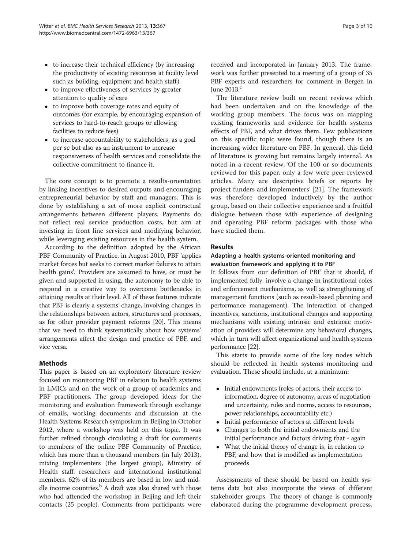- to increase their technical efficiency (by increasing the productivity of existing resources at facility level such as building, equipment and health staff)
- to improve effectiveness of services by greater attention to quality of care
- to improve both coverage rates and equity of outcomes (for example, by encouraging expansion of services to hard-to-reach groups or allowing facilities to reduce fees)
- to increase accountability to stakeholders, as a goal per se but also as an instrument to increase responsiveness of health services and consolidate the collective commitment to finance it.

The core concept is to promote a results-orientation by linking incentives to desired outputs and encouraging entrepreneurial behavior by staff and managers. This is done by establishing a set of more explicit contractual arrangements between different players. Payments do not reflect real service production costs, but aim at investing in front line services and modifying behavior, while leveraging existing resources in the health system.

According to the definition adopted by the African PBF Community of Practice, in August 2010, PBF 'applies market forces but seeks to correct market failures to attain health gains'. Providers are assumed to have, or must be given and supported in using, the autonomy to be able to respond in a creative way to overcome bottlenecks in attaining results at their level. All of these features indicate that PBF is clearly a systems' change, involving changes in the relationships between actors, structures and processes, as for other provider payment reforms [\[20\]](#page-9-0). This means that we need to think systematically about how systems' arrangements affect the design and practice of PBF, and vice versa.

## Methods

This paper is based on an exploratory literature review focused on monitoring PBF in relation to health systems in LMICs and on the work of a group of academics and PBF practitioners. The group developed ideas for the monitoring and evaluation framework through exchange of emails, working documents and discussion at the Health Systems Research symposium in Beijing in October 2012, where a workshop was held on this topic. It was further refined through circulating a draft for comments to members of the online PBF Community of Practice, which has more than a thousand members (in July 2013), mixing implementers (the largest group), Ministry of Health staff, researchers and international institutional members. 62% of its members are based in low and middle income countries.<sup>b</sup> A draft was also shared with those who had attended the workshop in Beijing and left their contacts (25 people). Comments from participants were received and incorporated in January 2013. The framework was further presented to a meeting of a group of 35 PBF experts and researchers for comment in Bergen in June  $2013$ . $<sup>c</sup>$ </sup>

The literature review built on recent reviews which had been undertaken and on the knowledge of the working group members. The focus was on mapping existing frameworks and evidence for health systems effects of PBF, and what drives them. Few publications on this specific topic were found, though there is an increasing wider literature on PBF. In general, this field of literature is growing but remains largely internal. As noted in a recent review, 'Of the 100 or so documents reviewed for this paper, only a few were peer-reviewed articles. Many are descriptive briefs or reports by project funders and implementers' [[21\]](#page-9-0). The framework was therefore developed inductively by the author group, based on their collective experience and a fruitful dialogue between those with experience of designing and operating PBF reform packages with those who have studied them.

## Results

## Adapting a health systems-oriented monitoring and evaluation framework and applying it to PBF

It follows from our definition of PBF that it should, if implemented fully, involve a change in institutional roles and enforcement mechanisms, as well as strengthening of management functions (such as result-based planning and performance management). The interaction of changed incentives, sanctions, institutional changes and supporting mechanisms with existing intrinsic and extrinsic motivation of providers will determine any behavioral changes, which in turn will affect organizational and health systems performance [\[22\]](#page-9-0).

This starts to provide some of the key nodes which should be reflected in health systems monitoring and evaluation. These should include, at a minimum:

- $\bullet~$  Initial endowments (roles of actors, their access to information, degree of autonomy, areas of negotiation and uncertainty, rules and norms, access to resources, power relationships, accountability etc.)
- Initial performance of actors at different levels
- Changes to both the initial endowments and the initial performance and factors driving that - again
- What the initial theory of change is, in relation to PBF, and how that is modified as implementation proceeds

Assessments of these should be based on health systems data but also incorporate the views of different stakeholder groups. The theory of change is commonly elaborated during the programme development process,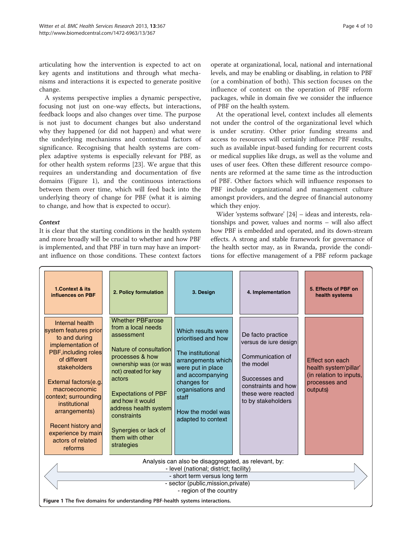articulating how the intervention is expected to act on key agents and institutions and through what mechanisms and interactions it is expected to generate positive change.

A systems perspective implies a dynamic perspective, focusing not just on one-way effects, but interactions, feedback loops and also changes over time. The purpose is not just to document changes but also understand why they happened (or did not happen) and what were the underlying mechanisms and contextual factors of significance. Recognising that health systems are complex adaptive systems is especially relevant for PBF, as for other health system reforms [\[23](#page-9-0)]. We argue that this requires an understanding and documentation of five domains (Figure 1), and the continuous interactions between them over time, which will feed back into the underlying theory of change for PBF (what it is aiming to change, and how that is expected to occur).

#### **Context**

It is clear that the starting conditions in the health system and more broadly will be crucial to whether and how PBF is implemented, and that PBF in turn may have an important influence on those conditions. These context factors

operate at organizational, local, national and international levels, and may be enabling or disabling, in relation to PBF (or a combination of both). This section focuses on the influence of context on the operation of PBF reform packages, while in domain five we consider the influence of PBF on the health system.

At the operational level, context includes all elements not under the control of the organizational level which is under scrutiny. Other prior funding streams and access to resources will certainly influence PBF results, such as available input-based funding for recurrent costs or medical supplies like drugs, as well as the volume and uses of user fees. Often these different resource components are reformed at the same time as the introduction of PBF. Other factors which will influence responses to PBF include organizational and management culture amongst providers, and the degree of financial autonomy which they enjoy.

Wider 'systems software' [\[24\]](#page-9-0) – ideas and interests, relationships and power, values and norms – will also affect how PBF is embedded and operated, and its down-stream effects. A strong and stable framework for governance of the health sector may, as in Rwanda, provide the conditions for effective management of a PBF reform package

| 1.Context & its<br>influences on PBF                                                                                                                                                                                                                                                                                   | 2. Policy formulation                                                                                                                                                                                                                                                                                                  | 3. Design                                                                                                                                                                                                             | 4. Implementation                                                                                                                                               | 5. Effects of PBF on<br>health systems                                                           |  |  |  |
|------------------------------------------------------------------------------------------------------------------------------------------------------------------------------------------------------------------------------------------------------------------------------------------------------------------------|------------------------------------------------------------------------------------------------------------------------------------------------------------------------------------------------------------------------------------------------------------------------------------------------------------------------|-----------------------------------------------------------------------------------------------------------------------------------------------------------------------------------------------------------------------|-----------------------------------------------------------------------------------------------------------------------------------------------------------------|--------------------------------------------------------------------------------------------------|--|--|--|
| Internal health<br>system features prior<br>to and during<br>implementation of<br>PBF, including roles<br>of different<br>stakeholders<br>External factors(e.g.<br>macroeconomic<br>context; surrounding<br>institutional<br>arrangements)<br>Recent history and<br>experience by main<br>actors of related<br>reforms | <b>Whether PBFarose</b><br>from a local needs<br>assessment<br>Nature of consultation<br>processes & how<br>ownership was (or was<br>not) created for key<br>actors<br><b>Expectations of PBF</b><br>and how it would<br>address health system<br>constraints<br>Synergies or lack of<br>them with other<br>strategies | Which results were<br>prioritised and how<br>The institutional<br>arrangements which<br>were put in place<br>and accompanying<br>changes for<br>organisations and<br>staff<br>How the model was<br>adapted to context | De facto practice<br>versus de iure design<br>Communication of<br>the model<br>Successes and<br>constraints and how<br>these were reacted<br>to by stakeholders | Effect son each<br>health system'pillar'<br>(in relation to inputs,<br>processes and<br>outputs) |  |  |  |
| Analysis can also be disaggregated, as relevant, by:<br>- level (national; district; facility)                                                                                                                                                                                                                         |                                                                                                                                                                                                                                                                                                                        |                                                                                                                                                                                                                       |                                                                                                                                                                 |                                                                                                  |  |  |  |
| - short term versus long term<br>- sector (public, mission, private)<br>- region of the country                                                                                                                                                                                                                        |                                                                                                                                                                                                                                                                                                                        |                                                                                                                                                                                                                       |                                                                                                                                                                 |                                                                                                  |  |  |  |
| Figure 1 The five domains for understanding PBF-health systems interactions.                                                                                                                                                                                                                                           |                                                                                                                                                                                                                                                                                                                        |                                                                                                                                                                                                                       |                                                                                                                                                                 |                                                                                                  |  |  |  |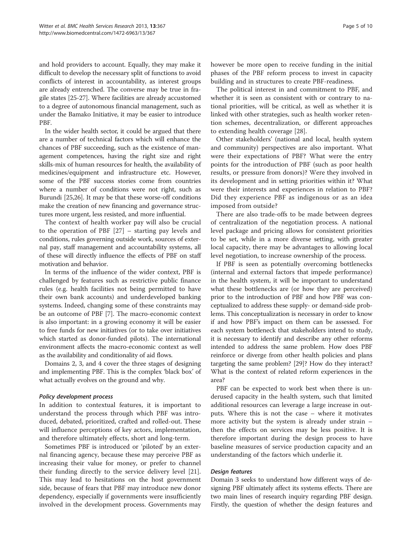and hold providers to account. Equally, they may make it difficult to develop the necessary split of functions to avoid conflicts of interest in accountability, as interest groups are already entrenched. The converse may be true in fragile states [\[25-27\]](#page-9-0). Where facilities are already accustomed to a degree of autonomous financial management, such as under the Bamako Initiative, it may be easier to introduce PBF.

In the wider health sector, it could be argued that there are a number of technical factors which will enhance the chances of PBF succeeding, such as the existence of management competences, having the right size and right skills-mix of human resources for health, the availability of medicines/equipment and infrastructure etc. However, some of the PBF success stories come from countries where a number of conditions were not right, such as Burundi [\[25,26\]](#page-9-0). It may be that these worse-off conditions make the creation of new financing and governance structures more urgent, less resisted, and more influential.

The context of health worker pay will also be crucial to the operation of PBF [[27\]](#page-9-0) – starting pay levels and conditions, rules governing outside work, sources of external pay, staff management and accountability systems, all of these will directly influence the effects of PBF on staff motivation and behavior.

In terms of the influence of the wider context, PBF is challenged by features such as restrictive public finance rules (e.g. health facilities not being permitted to have their own bank accounts) and underdeveloped banking systems. Indeed, changing some of these constraints may be an outcome of PBF [\[7](#page-9-0)]. The macro-economic context is also important: in a growing economy it will be easier to free funds for new initiatives (or to take over initiatives which started as donor-funded pilots). The international environment affects the macro-economic context as well as the availability and conditionality of aid flows.

Domains 2, 3, and 4 cover the three stages of designing and implementing PBF. This is the complex 'black box' of what actually evolves on the ground and why.

#### Policy development process

In addition to contextual features, it is important to understand the process through which PBF was introduced, debated, prioritized, crafted and rolled-out. These will influence perceptions of key actors, implementation, and therefore ultimately effects, short and long-term.

Sometimes PBF is introduced or 'piloted' by an external financing agency, because these may perceive PBF as increasing their value for money, or prefer to channel their funding directly to the service delivery level [\[21](#page-9-0)]. This may lead to hesitations on the host government side, because of fears that PBF may introduce new donor dependency, especially if governments were insufficiently involved in the development process. Governments may however be more open to receive funding in the initial phases of the PBF reform process to invest in capacity building and in structures to create PBF-readiness.

The political interest in and commitment to PBF, and whether it is seen as consistent with or contrary to national priorities, will be critical, as well as whether it is linked with other strategies, such as health worker retention schemes, decentralization, or different approaches to extending health coverage [[28\]](#page-9-0).

Other stakeholders' (national and local, health system and community) perspectives are also important. What were their expectations of PBF? What were the entry points for the introduction of PBF (such as poor health results, or pressure from donors)? Were they involved in its development and in setting priorities within it? What were their interests and experiences in relation to PBF? Did they experience PBF as indigenous or as an idea imposed from outside?

There are also trade-offs to be made between degrees of centralization of the negotiation process. A national level package and pricing allows for consistent priorities to be set, while in a more diverse setting, with greater local capacity, there may be advantages to allowing local level negotiation, to increase ownership of the process.

If PBF is seen as potentially overcoming bottlenecks (internal and external factors that impede performance) in the health system, it will be important to understand what these bottlenecks are (or how they are perceived) prior to the introduction of PBF and how PBF was conceptualized to address these supply- or demand-side problems. This conceptualization is necessary in order to know if and how PBF's impact on them can be assessed. For each system bottleneck that stakeholders intend to study, it is necessary to identify and describe any other reforms intended to address the same problem. How does PBF reinforce or diverge from other health policies and plans targeting the same problem? [[29](#page-9-0)]? How do they interact? What is the context of related reform experiences in the area?

PBF can be expected to work best when there is underused capacity in the health system, such that limited additional resources can leverage a large increase in outputs. Where this is not the case – where it motivates more activity but the system is already under strain – then the effects on services may be less positive. It is therefore important during the design process to have baseline measures of service production capacity and an understanding of the factors which underlie it.

#### Design features

Domain 3 seeks to understand how different ways of designing PBF ultimately affect its systems effects. There are two main lines of research inquiry regarding PBF design. Firstly, the question of whether the design features and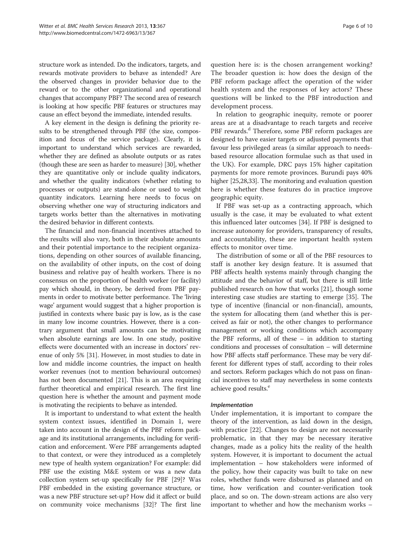structure work as intended. Do the indicators, targets, and rewards motivate providers to behave as intended? Are the observed changes in provider behavior due to the reward or to the other organizational and operational changes that accompany PBF? The second area of research is looking at how specific PBF features or structures may cause an effect beyond the immediate, intended results.

A key element in the design is defining the priority results to be strengthened through PBF (the size, composition and focus of the service package). Clearly, it is important to understand which services are rewarded, whether they are defined as absolute outputs or as rates (though these are seen as harder to measure) [[30](#page-9-0)], whether they are quantitative only or include quality indicators, and whether the quality indicators (whether relating to processes or outputs) are stand-alone or used to weight quantity indicators. Learning here needs to focus on observing whether one way of structuring indicators and targets works better than the alternatives in motivating the desired behavior in different contexts.

The financial and non-financial incentives attached to the results will also vary, both in their absolute amounts and their potential importance to the recipient organizations, depending on other sources of available financing, on the availability of other inputs, on the cost of doing business and relative pay of health workers. There is no consensus on the proportion of health worker (or facility) pay which should, in theory, be derived from PBF payments in order to motivate better performance. The 'living wage' argument would suggest that a higher proportion is justified in contexts where basic pay is low, as is the case in many low income countries. However, there is a contrary argument that small amounts can be motivating when absolute earnings are low. In one study, positive effects were documented with an increase in doctors' revenue of only 5% [\[31\]](#page-9-0). However, in most studies to date in low and middle income countries, the impact on health worker revenues (not to mention behavioural outcomes) has not been documented [\[21\]](#page-9-0). This is an area requiring further theoretical and empirical research. The first line question here is whether the amount and payment mode is motivating the recipients to behave as intended.

It is important to understand to what extent the health system context issues, identified in Domain 1, were taken into account in the design of the PBF reform package and its institutional arrangements, including for verification and enforcement. Were PBF arrangements adapted to that context, or were they introduced as a completely new type of health system organization? For example: did PBF use the existing M&E system or was a new data collection system set-up specifically for PBF [\[29\]](#page-9-0)? Was PBF embedded in the existing governance structure, or was a new PBF structure set-up? How did it affect or build on community voice mechanisms [\[32\]](#page-9-0)? The first line

question here is: is the chosen arrangement working? The broader question is: how does the design of the PBF reform package affect the operation of the wider health system and the responses of key actors? These questions will be linked to the PBF introduction and development process.

In relation to geographic inequity, remote or poorer areas are at a disadvantage to reach targets and receive PBF rewards.<sup>d</sup> Therefore, some PBF reform packages are designed to have easier targets or adjusted payments that favour less privileged areas (a similar approach to needsbased resource allocation formulae such as that used in the UK). For example, DRC pays 15% higher capitation payments for more remote provinces. Burundi pays 40% higher [[25,28,33\]](#page-9-0). The monitoring and evaluation question here is whether these features do in practice improve geographic equity.

If PBF was set-up as a contracting approach, which usually is the case, it may be evaluated to what extent this influenced later outcomes [\[34](#page-9-0)]. If PBF is designed to increase autonomy for providers, transparency of results, and accountability, these are important health system effects to monitor over time.

The distribution of some or all of the PBF resources to staff is another key design feature. It is assumed that PBF affects health systems mainly through changing the attitude and the behavior of staff, but there is still little published research on how that works [\[21](#page-9-0)], though some interesting case studies are starting to emerge [[35](#page-9-0)]. The type of incentive (financial or non-financial), amounts, the system for allocating them (and whether this is perceived as fair or not), the other changes to performance management or working conditions which accompany the PBF reforms, all of these – in addition to starting conditions and processes of consultation – will determine how PBF affects staff performance. These may be very different for different types of staff, according to their roles and sectors. Reform packages which do not pass on financial incentives to staff may nevertheless in some contexts achieve good results.<sup>e</sup>

#### Implementation

Under implementation, it is important to compare the theory of the intervention, as laid down in the design, with practice [[22](#page-9-0)]. Changes to design are not necessarily problematic, in that they may be necessary iterative changes, made as a policy hits the reality of the health system. However, it is important to document the actual implementation – how stakeholders were informed of the policy, how their capacity was built to take on new roles, whether funds were disbursed as planned and on time, how verification and counter-verification took place, and so on. The down-stream actions are also very important to whether and how the mechanism works –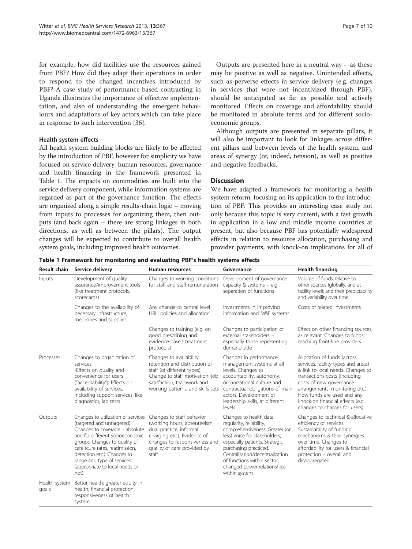<span id="page-6-0"></span>for example, how did facilities use the resources gained from PBF? How did they adapt their operations in order to respond to the changed incentives introduced by PBF? A case study of performance-based contracting in Uganda illustrates the importance of effective implementation, and also of understanding the emergent behaviours and adaptations of key actors which can take place in response to such intervention [[36](#page-9-0)].

#### Health system effects

All health system building blocks are likely to be affected by the introduction of PBF, however for simplicity we have focused on service delivery, human resources, governance and health financing in the framework presented in Table 1. The impacts on commodities are built into the service delivery component, while information systems are regarded as part of the governance function. The effects are organized along a simple results-chain logic – moving from inputs to processes for organizing them, then outputs (and back again – there are strong linkages in both directions, as well as between the pillars). The output changes will be expected to contribute to overall health system goals, including improved health outcomes.

Outputs are presented here in a neutral way  $-$  as these may be positive as well as negative. Unintended effects, such as perverse effects in service delivery (e.g. changes in services that were not incentivized through PBF), should be anticipated as far as possible and actively monitored. Effects on coverage and affordability should be monitored in absolute terms and for different socioeconomic groups.

Although outputs are presented in separate pillars, it will also be important to look for linkages across different pillars and between levels of the health system, and areas of synergy (or, indeed, tension), as well as positive and negative feedbacks.

## **Discussion**

We have adapted a framework for monitoring a health system reform, focusing on its application to the introduction of PBF. This provides an interesting case study not only because this topic is very current, with a fast growth in application in a low and middle income countries at present, but also because PBF has potentially widespread effects in relation to resource allocation, purchasing and provider payments, with knock-on implications for all of

Table 1 Framework for monitoring and evaluating PBF's health systems effects

| <b>Result chain</b>    | Service delivery                                                                                                                                                                                                                                                                                                | Human resources                                                                                                                                                                                | Governance                                                                                                                                                                                                                                                                                          | <b>Health financing</b>                                                                                                                                                                                                                                                                                   |
|------------------------|-----------------------------------------------------------------------------------------------------------------------------------------------------------------------------------------------------------------------------------------------------------------------------------------------------------------|------------------------------------------------------------------------------------------------------------------------------------------------------------------------------------------------|-----------------------------------------------------------------------------------------------------------------------------------------------------------------------------------------------------------------------------------------------------------------------------------------------------|-----------------------------------------------------------------------------------------------------------------------------------------------------------------------------------------------------------------------------------------------------------------------------------------------------------|
| Inputs                 | Development of quality<br>assurance/improvement tools<br>(like treatment protocols,<br>scorecards)                                                                                                                                                                                                              | Changes to working conditions<br>for staff and staff remuneration                                                                                                                              | Development of governance<br>capacity & systems $-$ e.g.<br>separation of functions                                                                                                                                                                                                                 | Volume of funds, relative to<br>other sources (globally, and at<br>facility level); and their predictability<br>and variability over time                                                                                                                                                                 |
|                        | Changes to the availability of<br>necessary infrastructure,<br>medicines and supplies                                                                                                                                                                                                                           | Any change to central level<br>HRH policies and allocation                                                                                                                                     | Investments in improving<br>information and M&E systems                                                                                                                                                                                                                                             | Costs of related investments                                                                                                                                                                                                                                                                              |
|                        |                                                                                                                                                                                                                                                                                                                 | Changes to training (e.g. on<br>good prescribing and<br>evidence-based treatment<br>protocols)                                                                                                 | Changes to participation of<br>external stakeholders -<br>especially those representing<br>demand-side                                                                                                                                                                                              | Effect on other financing sources,<br>as relevant. Changes to funds<br>reaching front-line providers                                                                                                                                                                                                      |
| Processes              | Changes to organization of<br>services<br>-Effects on quality and<br>convenience for users<br>("acceptability"). Effects on<br>availability of services,<br>including support services, like<br>diagnostics, lab tests                                                                                          | Changes to availability,<br>retention and distribution of<br>staff (of different types).<br>Change to staff motivation, job<br>satisfaction, teamwork and<br>working patterns, and skills sets | Changes in performance<br>management systems at all<br>levels. Changes to<br>accountability, autonomy,<br>organizational culture and<br>contractual obligations of main<br>actors. Development of<br>leadership skills, at different<br>levels                                                      | Allocation of funds (across<br>services, facility types and areas)<br>& link to local needs. Changes to<br>transactions costs (including<br>costs of new governance<br>arrangements, monitoring etc.).<br>How funds are used and any<br>knock-on financial effects (e.g.<br>changes to charges for users) |
| Outputs                | Changes to utilization of services<br>(targeted and untargeted).<br>Changes to coverage - absolute<br>and for different socioeconomic<br>groups. Changes to quality of<br>care (cure rates, readmission,<br>detection etc.). Changes to<br>range and type of services<br>(appropriate to local needs or<br>not) | Changes to staff behavior<br>(working hours, absenteeism,<br>dual practice, informal<br>charging etc.). Evidence of<br>changes to responsiveness and<br>quality of care provided by<br>staff   | Changes to health data:<br>reqularity, reliability,<br>comprehensiveness. Greater (or<br>less) voice for stakeholders,<br>especially patients. Strategic<br>purchasing practiced.<br>Centralisation/decentralization<br>of functions within sector;<br>changed power relationships<br>within system | Changes to technical & allocative<br>efficiency of services.<br>Sustainability of funding<br>mechanisms & their synergies<br>over time. Changes to<br>affordability for users & financial<br>protection - overall and<br>disaggregated                                                                    |
| Health system<br>goals | Better health; greater equity in<br>health; financial protection;<br>responsiveness of health<br>system                                                                                                                                                                                                         |                                                                                                                                                                                                |                                                                                                                                                                                                                                                                                                     |                                                                                                                                                                                                                                                                                                           |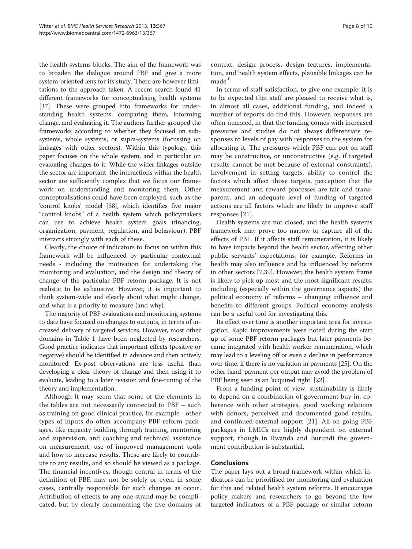the health systems blocks. The aim of the framework was to broaden the dialogue around PBF and give a more system-oriented lens for its study. There are however limitations to the approach taken. A recent search found 41 different frameworks for conceptualising health systems [[37](#page-9-0)]. These were grouped into frameworks for understanding health systems, comparing them, informing change, and evaluating it. The authors further grouped the frameworks according to whether they focused on subsystems, whole systems, or supra-systems (focussing on linkages with other sectors). Within this typology, this paper focuses on the whole system, and in particular on evaluating changes to it. While the wider linkages outside the sector are important, the interactions within the health sector are sufficiently complex that we focus our framework on understanding and monitoring them. Other conceptualisations could have been employed, such as the 'control knobs' model [[38](#page-9-0)], which identifies five major "control knobs" of a health system which policymakers can use to achieve health system goals (financing, organization, payment, regulation, and behaviour). PBF interacts strongly with each of these.

Clearly, the choice of indicators to focus on within this framework will be influenced by particular contextual needs - including the motivation for undertaking the monitoring and evaluation, and the design and theory of change of the particular PBF reform package. It is not realistic to be exhaustive. However, it is important to think system-wide and clearly about what might change, and what is a priority to measure (and why).

The majority of PBF evaluations and monitoring systems to date have focused on changes to outputs, in terms of increased delivery of targeted services. However, most other domains in Table [1](#page-6-0) have been neglected by researchers. Good practice indicates that important effects (positive or negative) should be identified in advance and then actively monitored. Ex-post observations are less useful than developing a clear theory of change and then using it to evaluate, leading to a later revision and fine-tuning of the theory and implementation.

Although it may seem that some of the elements in the tables are not necessarily connected to PBF – such as training on good clinical practice, for example - other types of inputs do often accompany PBF reform packages, like capacity building through training, mentoring and supervision, and coaching and technical assistance on measurement, use of improved management tools and how to increase results. These are likely to contribute to any results, and so should be viewed as a package. The financial incentives, though central in terms of the definition of PBF, may not be solely or even, in some cases, centrally responsible for such changes as occur. Attribution of effects to any one strand may be complicated, but by clearly documenting the five domains of context, design process, design features, implementation, and health system effects, plausible linkages can be made.<sup>f</sup>

In terms of staff satisfaction, to give one example, it is to be expected that staff are pleased to receive what is, in almost all cases, additional funding, and indeed a number of reports do find this. However, responses are often nuanced, in that the funding comes with increased pressures and studies do not always differentiate responses to levels of pay with responses to the system for allocating it. The pressures which PBF can put on staff may be constructive, or unconstructive (e.g. if targeted results cannot be met because of external constraints). Involvement in setting targets, ability to control the factors which affect those targets, perception that the measurement and reward processes are fair and transparent, and an adequate level of funding of targeted actions are all factors which are likely to improve staff responses [\[21](#page-9-0)].

Health systems are not closed, and the health systems framework may prove too narrow to capture all of the effects of PBF. If it affects staff remuneration, it is likely to have impacts beyond the health sector, affecting other public servants' expectations, for example. Reforms in health may also influence and be influenced by reforms in other sectors [[7,39\]](#page-9-0). However, the health system frame is likely to pick up most and the most significant results, including (especially within the governance aspects) the political economy of reforms – changing influence and benefits to different groups. Political economy analysis can be a useful tool for investigating this.

Its effect over time is another important area for investigation. Rapid improvements were noted during the start up of some PBF reform packages but later payments became integrated with health worker remuneration, which may lead to a leveling off or even a decline in performance over time, if there is no variation in payments [[25](#page-9-0)]. On the other hand, payment per output may avoid the problem of PBF being seen as an 'acquired right' [\[22](#page-9-0)].

From a funding point of view, sustainability is likely to depend on a combination of government buy-in, coherence with other strategies, good working relations with donors, perceived and documented good results, and continued external support [[21\]](#page-9-0). All on-going PBF packages in LMICs are highly dependent on external support, though in Rwanda and Burundi the government contribution is substantial.

## Conclusions

The paper lays out a broad framework within which indicators can be prioritised for monitoring and evaluation for this and related health system reforms. It encourages policy makers and researchers to go beyond the few targeted indicators of a PBF package or similar reform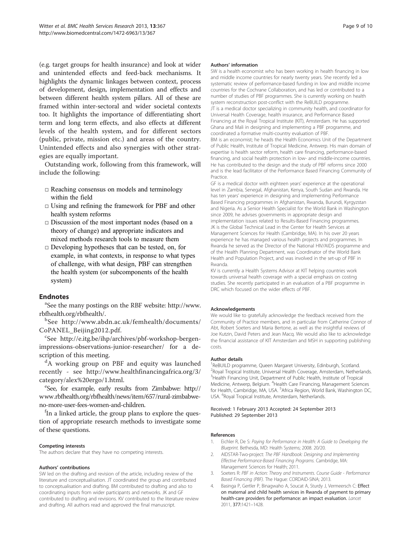<span id="page-8-0"></span>(e.g. target groups for health insurance) and look at wider and unintended effects and feed-back mechanisms. It highlights the dynamic linkages between context, process of development, design, implementation and effects and between different health system pillars. All of these are framed within inter-sectoral and wider societal contexts too. It highlights the importance of differentiating short term and long term effects, and also effects at different levels of the health system, and for different sectors (public, private, mission etc.) and areas of the country. Unintended effects and also synergies with other strategies are equally important.

Outstanding work, following from this framework, will include the following:

- $\square$  Reaching consensus on models and terminology within the field
- □ Using and refining the framework for PBF and other health system reforms
- $\square$  Discussion of the most important nodes (based on a theory of change) and appropriate indicators and mixed methods research tools to measure them
- $\square$  Developing hypotheses that can be tested, on, for example, in what contexts, in response to what types of challenge, with what design, PBF can strengthen the health system (or subcomponents of the health system)

## **Endnotes**

See the many postings on the RBF website: [http://www.](http://www.rbfhealth.org/rbfhealth/) [rbfhealth.org/rbfhealth/](http://www.rbfhealth.org/rbfhealth/).

b See [http://www.abdn.ac.uk/femhealth/documents/](http://www.abdn.ac.uk/femhealth/documents/CoPANEL_Beijing2012.pdf) [CoPANEL\\_Beijing2012.pdf.](http://www.abdn.ac.uk/femhealth/documents/CoPANEL_Beijing2012.pdf)

See [http://e.itg.be/ihp/archives/pbf-workshop-bergen](http://e.itg.be/ihp/archives/pbf-workshop-bergen-impressions-observations-junior-researcher/)[impressions-observations-junior-researcher/](http://e.itg.be/ihp/archives/pbf-workshop-bergen-impressions-observations-junior-researcher/) for a description of this meeting.

<sup>d</sup>A working group on PBF and equity was launched recently - see [http://www.healthfinancingafrica.org/3/](http://www.healthfinancingafrica.org/3/category/alex%20ergo/1.html) [category/alex%20ergo/1.html.](http://www.healthfinancingafrica.org/3/category/alex%20ergo/1.html)

See, for example, early results from Zimbabwe: [http://](http://www.rbfhealth.org/rbfhealth/news/item/657/rural-zimbabwe-no-more-user-fees-women-and-children) [www.rbfhealth.org/rbfhealth/news/item/657/rural-zimbabwe](http://www.rbfhealth.org/rbfhealth/news/item/657/rural-zimbabwe-no-more-user-fees-women-and-children)[no-more-user-fees-women-and-children.](http://www.rbfhealth.org/rbfhealth/news/item/657/rural-zimbabwe-no-more-user-fees-women-and-children)

<sup>f</sup>In a linked article, the group plans to explore the question of appropriate research methods to investigate some of these questions.

#### Competing interests

The authors declare that they have no competing interests.

#### Authors' contributions

SW led on the drafting and revision of the article, including review of the literature and conceptualisation. JT coordinated the group and contributed to conceptualisation and drafting. BM contributed to drafting and also to coordinating inputs from wider participants and networks. JK and GF contributed to drafting and revisions. KV contributed to the literature review and drafting. All authors read and approved the final manuscript.

#### Authors' information

SW is a health economist who has been working in health financing in low and middle income countries for nearly twenty years. She recently led a systematic review of performance-based funding in low and middle income countries for the Cochrane Collaboration, and has led or contributed to a number of studies of PBF programmes. She is currently working on health system reconstruction post-conflict with the ReBUILD programme. JT is a medical doctor specializing in community health, and coordinator for Universal Health Coverage, health insurance, and Performance Based Financing at the Royal Tropical Institute (KIT), Amsterdam. He has supported Ghana and Mali in designing and implementing a PBF programme, and coordinated a formative multi-country evaluation of PBF. BM is an economist; he heads the Health Economics Unit of the Department of Public Health, Institute of Tropical Medicine, Antwerp. His main domain of

expertise is health sector reform, health care financing, performance-based financing, and social health protection in low- and middle-income countries. He has contributed to the design and the study of PBF reforms since 2000 and is the lead facilitator of the Performance Based Financing Community of Practice.

GF is a medical doctor with eighteen years' experience at the operational level in Zambia, Senegal, Afghanistan, Kenya, South Sudan and Rwanda. He has ten years' experience in designing and implementing Performance Based Financing programmes in Afghanistan, Rwanda, Burundi, Kyrgyzstan and Nigeria. As a Senior Health Specialist for the World Bank in Washington since 2009, he advises governments in appropriate design and implementation issues related to Results-Based Financing programmes. JK is the Global Technical Lead in the Center for Health Services at Management Sciences for Health (Cambridge, MA). In his over 20 years experience he has managed various health projects and programmes. In Rwanda he served as the Director of the National HIV/AIDS programme and of the Health Planning Department, was Coordinator of the World Bank Health and Population Project, and was involved in the set-up of PBF in Rwanda.

KV is currently a Health Systems Advisor at KIT helping countries work towards universal health coverage with a special emphasis on costing studies. She recently participated in an evaluation of a PBF programme in DRC which focused on the wider effects of PBF.

#### Acknowledgements

We would like to gratefully acknowledge the feedback received from the Community of Practice members, and in particular from Catherine Connor of Abt, Robert Soeters and Maria Bertone, as well as the insightful reviews of Joe Kutzin, David Peters and Jean Macq. We would also like to acknowledge the financial assistance of KIT Amsterdam and MSH in supporting publishing costs.

#### Author details

<sup>1</sup> ReBUILD programme, Queen Margaret University, Edinburgh, Scotland <sup>2</sup> Royal Tropical Institute, Universal Health Coverage, Amsterdam, Netherlands. <sup>3</sup> Health Financing Unit, Department of Public Health, Institute of Tropical Medicine, Antwerp, Belgium. <sup>4</sup>Health Care Financing, Management Sciences for Health, Cambridge, MA, USA. <sup>5</sup>Africa Region, World Bank, Washington DC, USA. <sup>6</sup>Royal Tropical Institute, Amsterdam, Netherlands

#### Received: 1 February 2013 Accepted: 24 September 2013 Published: 29 September 2013

#### References

- 1. Eichler R, De S: Paying for Performance in Health: A Guide to Developing the Blueprint. Bethesda, MD: Health Systems; 2008. 20/20.
- 2. AIDSTAR-Two-project: The PBF Handbook: Designing and Implementing Effective Performance-Based Financing Programs. Cambridge, MA: Management Sciences for Health; 2011.
- 3. Soeters R: PBF in Action: Theory and Instruments. Course Guide Performance Based Financing (PBF). The Hague: CORDAID-SINA; 2013.
- 4. Basinga P, Gertler P, Binagwaho A, Soucat A, Sturdy J, Vermeersch C: Effect on maternal and child health services in Rwanda of payment to primary health-care providers for performance: an impact evaluation. Lancet 2011, 377:1421–1428.